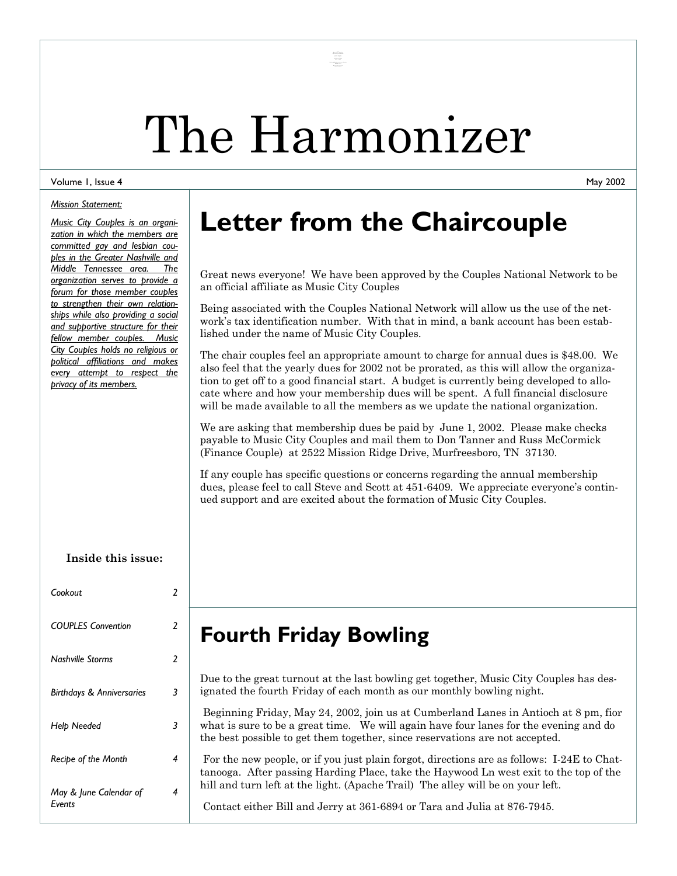# The Harmonizer

Manuel Stefan<br>
Chair Couple<br>
The Stefan<br>
Russ & Don<br>
Russ & Don<br>
Manuel & Me<br>
Russ & Don

#### Volume 1, Issue 4

#### *Mission Statement:*

*Music City Couples is an organization in which the members are committed gay and lesbian couples in the Greater Nashville and Middle Tennessee area. The organization serves to provide a forum for those member couples to strengthen their own relationships while also providing a social and supportive structure for their fellow member couples. Music City Couples holds no religious or political affiliations and makes every attempt to respect the privacy of its members.* 

#### **Inside this issue:**

| Cookout                          | 2 |
|----------------------------------|---|
| <b>COUPLES Convention</b>        | 2 |
| <b>Nashville Storms</b>          | 2 |
| Birthdays & Anniversaries        | 3 |
| Help Needed                      | 3 |
| Recipe of the Month              | 4 |
| May & June Calendar of<br>Fvents | 4 |

## **Letter from the Chaircouple**

Great news everyone! We have been approved by the Couples National Network to be an official affiliate as Music City Couples

Being associated with the Couples National Network will allow us the use of the network's tax identification number. With that in mind, a bank account has been established under the name of Music City Couples.

The chair couples feel an appropriate amount to charge for annual dues is \$48.00. We also feel that the yearly dues for 2002 not be prorated, as this will allow the organization to get off to a good financial start. A budget is currently being developed to allocate where and how your membership dues will be spent. A full financial disclosure will be made available to all the members as we update the national organization.

We are asking that membership dues be paid by June 1, 2002. Please make checks payable to Music City Couples and mail them to Don Tanner and Russ McCormick (Finance Couple) at 2522 Mission Ridge Drive, Murfreesboro, TN 37130.

If any couple has specific questions or concerns regarding the annual membership dues, please feel to call Steve and Scott at 451-6409. We appreciate everyone's continued support and are excited about the formation of Music City Couples.

#### **Fourth Friday Bowling**

Due to the great turnout at the last bowling get together, Music City Couples has designated the fourth Friday of each month as our monthly bowling night.

 Beginning Friday, May 24, 2002, join us at Cumberland Lanes in Antioch at 8 pm, fior what is sure to be a great time. We will again have four lanes for the evening and do the best possible to get them together, since reservations are not accepted.

 For the new people, or if you just plain forgot, directions are as follows: I-24E to Chattanooga. After passing Harding Place, take the Haywood Ln west exit to the top of the hill and turn left at the light. (Apache Trail) The alley will be on your left.

Contact either Bill and Jerry at 361-6894 or Tara and Julia at 876-7945.

May 2002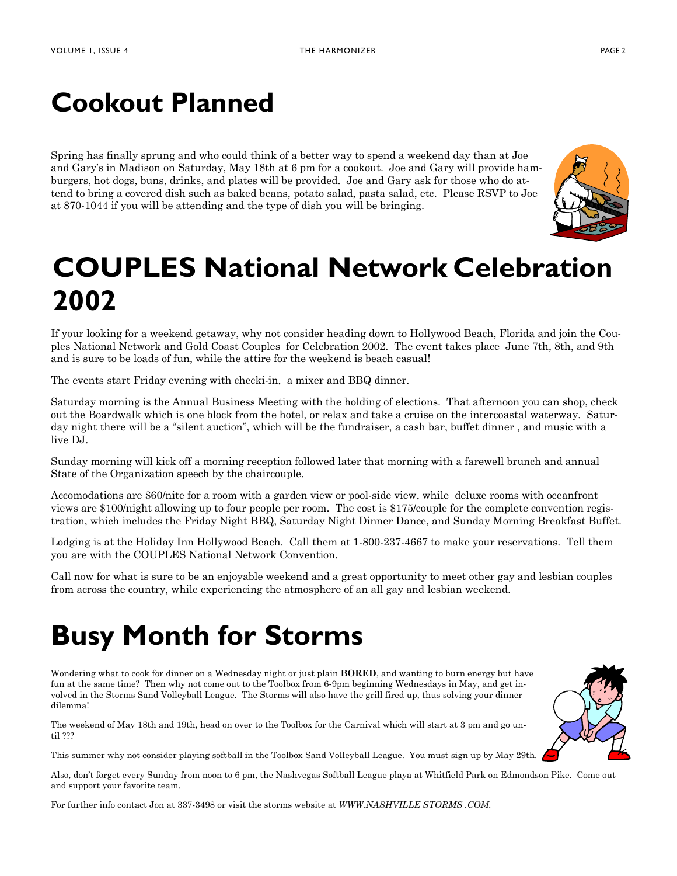# **Cookout Planned**

Spring has finally sprung and who could think of a better way to spend a weekend day than at Joe and Gary's in Madison on Saturday, May 18th at 6 pm for a cookout. Joe and Gary will provide hamburgers, hot dogs, buns, drinks, and plates will be provided. Joe and Gary ask for those who do attend to bring a covered dish such as baked beans, potato salad, pasta salad, etc. Please RSVP to Joe at 870-1044 if you will be attending and the type of dish you will be bringing.



# **COUPLES National Network Celebration 2002**

If your looking for a weekend getaway, why not consider heading down to Hollywood Beach, Florida and join the Couples National Network and Gold Coast Couples for Celebration 2002. The event takes place June 7th, 8th, and 9th and is sure to be loads of fun, while the attire for the weekend is beach casual!

The events start Friday evening with checki-in, a mixer and BBQ dinner.

Saturday morning is the Annual Business Meeting with the holding of elections. That afternoon you can shop, check out the Boardwalk which is one block from the hotel, or relax and take a cruise on the intercoastal waterway. Saturday night there will be a "silent auction", which will be the fundraiser, a cash bar, buffet dinner , and music with a live DJ.

Sunday morning will kick off a morning reception followed later that morning with a farewell brunch and annual State of the Organization speech by the chaircouple.

Accomodations are \$60/nite for a room with a garden view or pool-side view, while deluxe rooms with oceanfront views are \$100/night allowing up to four people per room. The cost is \$175/couple for the complete convention registration, which includes the Friday Night BBQ, Saturday Night Dinner Dance, and Sunday Morning Breakfast Buffet.

Lodging is at the Holiday Inn Hollywood Beach. Call them at 1-800-237-4667 to make your reservations. Tell them you are with the COUPLES National Network Convention.

Call now for what is sure to be an enjoyable weekend and a great opportunity to meet other gay and lesbian couples from across the country, while experiencing the atmosphere of an all gay and lesbian weekend.

# **Busy Month for Storms**

Wondering what to cook for dinner on a Wednesday night or just plain **BORED**, and wanting to burn energy but have fun at the same time? Then why not come out to the Toolbox from 6-9pm beginning Wednesdays in May, and get involved in the Storms Sand Volleyball League. The Storms will also have the grill fired up, thus solving your dinner dilemma!

The weekend of May 18th and 19th, head on over to the Toolbox for the Carnival which will start at 3 pm and go until ???

This summer why not consider playing softball in the Toolbox Sand Volleyball League. You must sign up by May 29th.

Also, don't forget every Sunday from noon to 6 pm, the Nashvegas Softball League playa at Whitfield Park on Edmondson Pike. Come out and support your favorite team.

For further info contact Jon at 337-3498 or visit the storms website at *WWW.NASHVILLE STORMS .COM.*

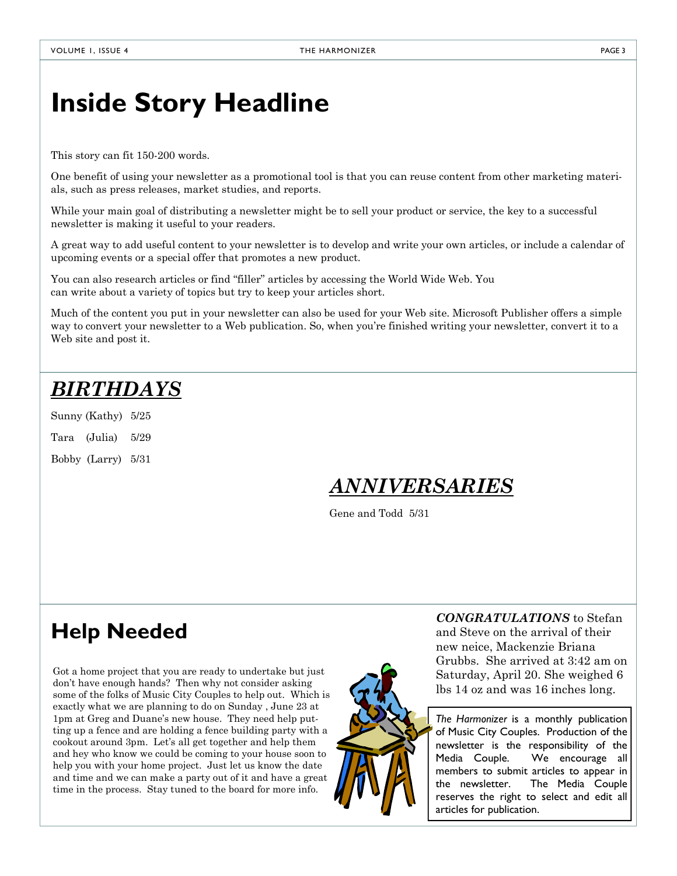### **Inside Story Headline**

This story can fit 150-200 words.

One benefit of using your newsletter as a promotional tool is that you can reuse content from other marketing materials, such as press releases, market studies, and reports.

While your main goal of distributing a newsletter might be to sell your product or service, the key to a successful newsletter is making it useful to your readers.

A great way to add useful content to your newsletter is to develop and write your own articles, or include a calendar of upcoming events or a special offer that promotes a new product.

You can also research articles or find "filler" articles by accessing the World Wide Web. You can write about a variety of topics but try to keep your articles short.

Much of the content you put in your newsletter can also be used for your Web site. Microsoft Publisher offers a simple way to convert your newsletter to a Web publication. So, when you're finished writing your newsletter, convert it to a Web site and post it.

### *BIRTHDAYS*

Sunny (Kathy) 5/25

Tara (Julia) 5/29

Bobby (Larry) 5/31

#### *ANNIVERSARIES*

Gene and Todd 5/31

### **Help Needed**

Got a home project that you are ready to undertake but just don't have enough hands? Then why not consider asking some of the folks of Music City Couples to help out. Which is exactly what we are planning to do on Sunday , June 23 at 1pm at Greg and Duane's new house. They need help putting up a fence and are holding a fence building party with a cookout around 3pm. Let's all get together and help them and hey who know we could be coming to your house soon to help you with your home project. Just let us know the date and time and we can make a party out of it and have a great time in the process. Stay tuned to the board for more info.



*CONGRATULATIONS* to Stefan and Steve on the arrival of their new neice, Mackenzie Briana Grubbs. She arrived at 3:42 am on Saturday, April 20. She weighed 6 lbs 14 oz and was 16 inches long.

*The Harmonizer* is a monthly publication of Music City Couples. Production of the newsletter is the responsibility of the Media Couple. We encourage all members to submit articles to appear in the newsletter. The Media Couple reserves the right to select and edit all articles for publication.